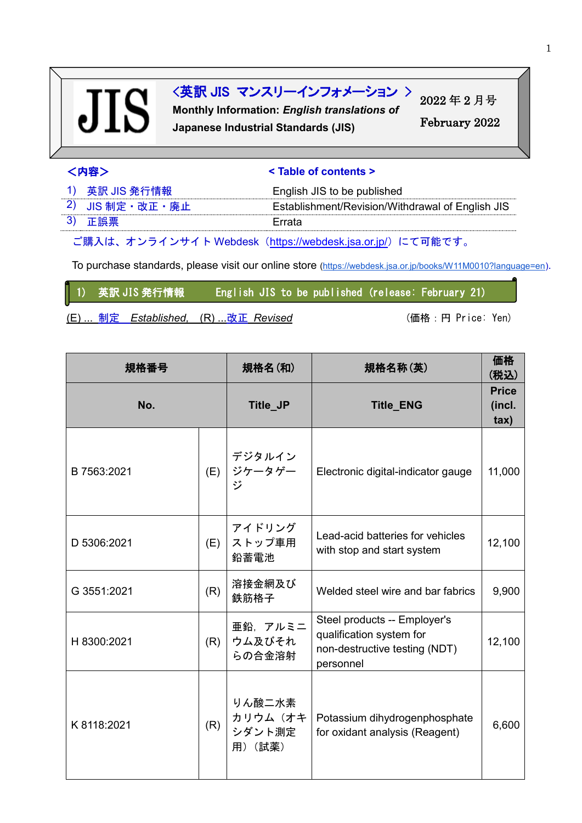# **JIS**

## <英訳 JIS マンスリーインフォメーション >

**Monthly Information:** *English translations of* **Japanese Industrial Standards (JIS)**

2022 年 2 月号 February 2022

## <内容> **< Table of contents >**

| 1) 英訳 JIS 発行情報  | English JIS to be published                      |
|-----------------|--------------------------------------------------|
| 2) JIS 制定·改正·廃止 | Establishment/Revision/Withdrawal of English JIS |
| 3) 正誤票          | Frrata                                           |

ご購入は、オンラインサイト Webdesk(<https://webdesk.jsa.or.jp/>)にて可能です。

To purchase standards, please visit our online store [\(https://webdesk.jsa.or.jp/books/W11M0010?language=en\)](https://webdesk.jsa.or.jp/books/W11M0010?language=en).

1) 英訳 JIS 発行情報 English JIS to be published (release: February 21)

(E) ... 制定 Established, (R) ...改正 Revised (married: Tennice: Yen)

| 規格番号        |     | 規格名(和)                                 | 規格名称(英)                                                                                                |                                          |
|-------------|-----|----------------------------------------|--------------------------------------------------------------------------------------------------------|------------------------------------------|
| No.         |     | Title_JP                               | <b>Title_ENG</b>                                                                                       | <b>Price</b><br>(incl.<br>$\mathsf{tax}$ |
| B 7563:2021 | (E) | デジタルイン<br>ジケータゲー<br>ジ                  | Electronic digital-indicator gauge                                                                     | 11,000                                   |
| D 5306:2021 | (E) | アイドリング<br>ストップ車用<br>鉛蓄電池               | Lead-acid batteries for vehicles<br>with stop and start system                                         | 12,100                                   |
| G 3551:2021 | (R) | 溶接金網及び<br>鉄筋格子                         | Welded steel wire and bar fabrics                                                                      | 9,900                                    |
| H 8300:2021 | (R) | 亜鉛、アルミニ<br>ウム及びそれ<br>らの合金溶射            | Steel products -- Employer's<br>qualification system for<br>non-destructive testing (NDT)<br>personnel | 12,100                                   |
| K 8118:2021 | (R) | りん酸二水素<br>カリウム(オキ<br>シダント測定<br>用) (試薬) | Potassium dihydrogenphosphate<br>for oxidant analysis (Reagent)                                        | 6,600                                    |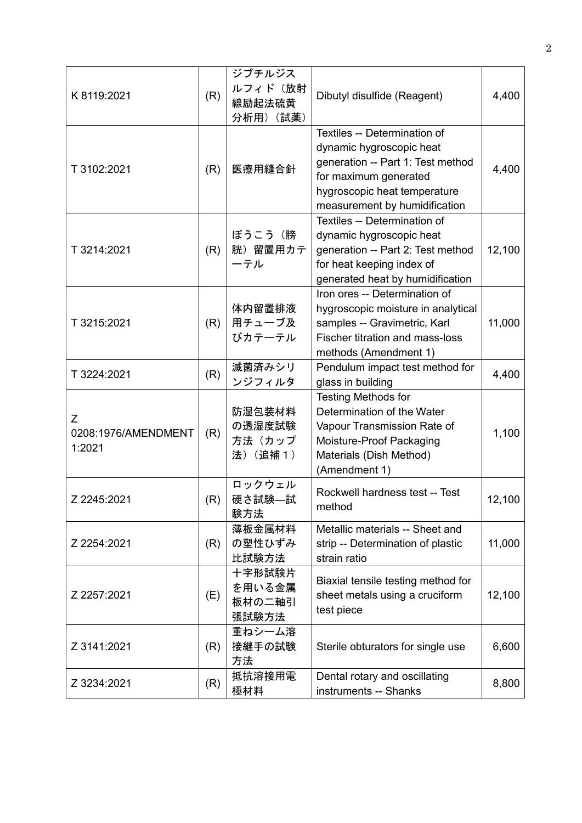| K 8119:2021                        | (R) | ジブチルジス<br>ルフィド(放射<br>線励起法硫黄<br>分析用) (試薬) | Dibutyl disulfide (Reagent)                                                                                                                                                             | 4,400  |
|------------------------------------|-----|------------------------------------------|-----------------------------------------------------------------------------------------------------------------------------------------------------------------------------------------|--------|
| T 3102:2021                        | (R) | 医療用縫合針                                   | Textiles -- Determination of<br>dynamic hygroscopic heat<br>generation -- Part 1: Test method<br>for maximum generated<br>hygroscopic heat temperature<br>measurement by humidification | 4,400  |
| T 3214:2021                        | (R) | ぼうこう(膀<br>胱) 留置用カテ<br>ーテル                | Textiles -- Determination of<br>dynamic hygroscopic heat<br>generation -- Part 2: Test method<br>for heat keeping index of<br>generated heat by humidification                          | 12,100 |
| T 3215:2021                        | (R) | 体内留置排液<br>用チューブ及<br>びカテーテル               | Iron ores -- Determination of<br>hygroscopic moisture in analytical<br>samples -- Gravimetric, Karl<br><b>Fischer titration and mass-loss</b><br>methods (Amendment 1)                  | 11,000 |
| T 3224:2021                        | (R) | 滅菌済みシリ<br>ンジフィルタ                         | Pendulum impact test method for<br>glass in building                                                                                                                                    | 4,400  |
| Ζ<br>0208:1976/AMENDMENT<br>1:2021 | (R) | 防湿包装材料<br>の透湿度試験<br>方法(カップ<br>法) (追補1)   | <b>Testing Methods for</b><br>Determination of the Water<br>Vapour Transmission Rate of<br>Moisture-Proof Packaging<br>Materials (Dish Method)<br>(Amendment 1)                         | 1,100  |
| Z 2245:2021                        | (R) | ロックウェル<br>硬さ試験–試<br>験方法                  | Rockwell hardness test -- Test<br>method                                                                                                                                                | 12,100 |
| Z 2254:2021                        | (R) | 薄板金属材料<br>の塑性ひずみ<br>比試験方法                | Metallic materials -- Sheet and<br>strip -- Determination of plastic<br>strain ratio                                                                                                    | 11,000 |
| Z 2257:2021                        | (E) | 十字形試験片<br>を用いる金属<br>板材の二軸引<br>張試験方法      | Biaxial tensile testing method for<br>sheet metals using a cruciform<br>test piece                                                                                                      | 12,100 |
| Z 3141:2021                        | (R) | 重ねシーム溶<br>接継手の試験<br>方法                   | Sterile obturators for single use                                                                                                                                                       | 6,600  |
| Z 3234:2021                        | (R) | 抵抗溶接用電<br>極材料                            | Dental rotary and oscillating<br>instruments -- Shanks                                                                                                                                  | 8,800  |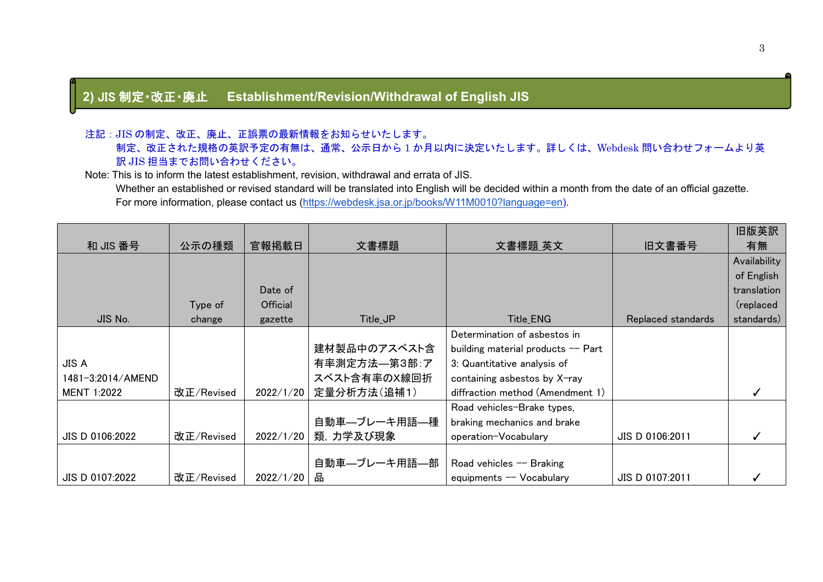### **2)** JIS 制定・改正・廃止 **Establishment/Revision/Withdrawal of English JIS**

#### 注記:JIS の制定、改正、廃止、正誤票の最新情報をお知らせいたします。

 制定、改正された規格の英訳予定の有無は、通常、公示日から 1 か月以内に決定いたします。詳しくは、Webdesk 問い合わせフォームより英 訳 JIS 担当までお問い合わせください。

#### Note: This is to inform the latest establishment, revision, withdrawal and errata of JIS.

Whether an established or revised standard will be translated into English will be decided within a month from the date of an official gazette. For more information, please contact us [\(https://webdesk.jsa.or.jp/books/W11M0010?language=en\)](https://webdesk.jsa.or.jp/books/W11M0010?language=en).

|                    |            |           |                |                                    |                    | 旧版英訳         |
|--------------------|------------|-----------|----------------|------------------------------------|--------------------|--------------|
| 和 JIS 番号           | 公示の種類      | 官報掲載日     | 文書標題           | 文書標題_英文                            | 旧文書番号              | 有無           |
|                    |            |           |                |                                    |                    | Availability |
|                    |            |           |                |                                    |                    | of English   |
|                    |            | Date of   |                |                                    |                    | translation  |
|                    | Type of    | Official  |                |                                    |                    | (replaced    |
| JIS No.            | change     | gazette   | Title_JP       | Title_ENG                          | Replaced standards | standards)   |
|                    |            |           |                | Determination of asbestos in       |                    |              |
|                    |            |           | 建材製品中のアスベスト含   | building material products -- Part |                    |              |
| <b>JIS A</b>       |            |           | 有率測定方法––第3部:ア  | 3: Quantitative analysis of        |                    |              |
| 1481-3:2014/AMEND  |            |           | スベスト含有率のX線回折   | containing asbestos by X-ray       |                    |              |
| <b>MENT 1:2022</b> | 改正/Revised | 2022/1/20 | 定量分析方法(追補1)    | diffraction method (Amendment 1)   |                    |              |
|                    |            |           |                | Road vehicles-Brake types,         |                    |              |
|                    |            |           | 自動車––ブレーキ用語––種 | braking mechanics and brake        |                    |              |
| JIS D 0106:2022    | 改正/Revised | 2022/1/20 | 類, 力学及び現象      | operation-Vocabulary               | JIS D 0106:2011    |              |
|                    |            |           |                |                                    |                    |              |
|                    |            |           | 自動車––ブレーキ用語––部 | Road vehicles $-$ Braking          |                    |              |
| JIS D 0107:2022    | 改正/Revised | 2022/1/20 | 맘              | equipments -- Vocabulary           | JIS D 0107:2011    |              |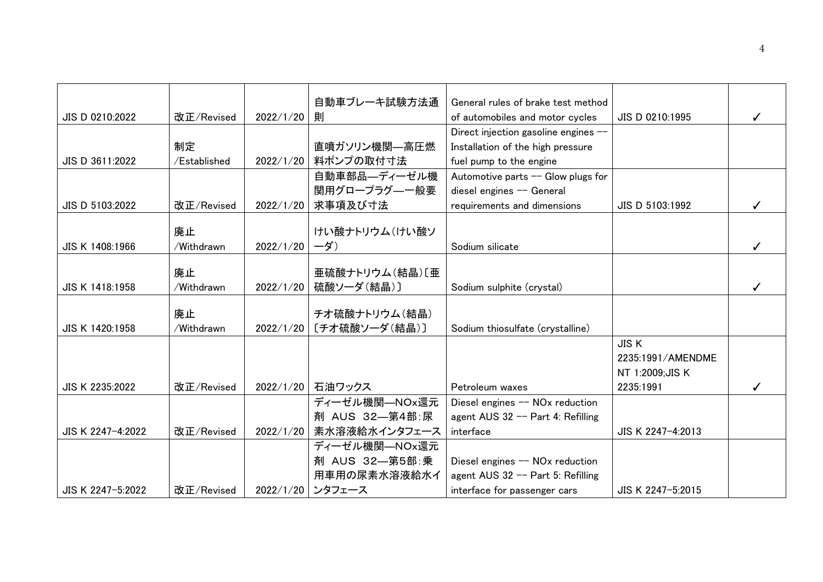|                   |              |           | 自動車ブレーキ試験方法通              | General rules of brake test method          |                   |  |
|-------------------|--------------|-----------|---------------------------|---------------------------------------------|-------------------|--|
|                   |              |           |                           |                                             |                   |  |
| JIS D 0210:2022   | 改正/Revised   | 2022/1/20 | 則                         | of automobiles and motor cycles             | JIS D 0210:1995   |  |
|                   |              |           |                           | Direct injection gasoline engines --        |                   |  |
|                   | 制定           |           | 直噴ガソリン機関—高圧燃              | Installation of the high pressure           |                   |  |
| JIS D 3611:2022   | /Established | 2022/1/20 | 料ポンプの取付寸法                 | fuel pump to the engine                     |                   |  |
|                   |              |           | 自動車部品–ディーゼル機              | Automotive parts -- Glow plugs for          |                   |  |
|                   |              |           | 関用グロープラグーー般要              | diesel engines -- General                   |                   |  |
| JIS D 5103:2022   | 改正/Revised   | 2022/1/20 | 求事項及び寸法                   | requirements and dimensions                 | JIS D 5103:1992   |  |
|                   |              |           |                           |                                             |                   |  |
|                   | 廃止           |           | けい酸ナトリウム(けい酸ソ             |                                             |                   |  |
| JIS K 1408:1966   | /Withdrawn   | 2022/1/20 | ーダ)                       | Sodium silicate                             |                   |  |
|                   |              |           |                           |                                             |                   |  |
|                   | 廃止           |           | 亜硫酸ナトリウム(結晶)[亜            |                                             |                   |  |
| JIS K 1418:1958   | /Withdrawn   | 2022/1/20 | 硫酸ソーダ(結晶)]                | Sodium sulphite (crystal)                   |                   |  |
|                   |              |           |                           |                                             |                   |  |
|                   | 廃止           |           | チオ硫酸ナトリウム(結晶)             |                                             |                   |  |
| JIS K 1420:1958   | /Withdrawn   | 2022/1/20 | [チオ硫酸ソーダ(結晶)]             | Sodium thiosulfate (crystalline)            |                   |  |
|                   |              |           |                           |                                             | <b>JISK</b>       |  |
|                   |              |           |                           |                                             | 2235:1991/AMENDME |  |
|                   |              |           |                           |                                             | NT 1:2009; JIS K  |  |
| JIS K 2235:2022   | 改正/Revised   | 2022/1/20 | 石油ワックス                    | Petroleum waxes                             | 2235:1991         |  |
|                   |              |           | ディーゼル機関―NOx還元             | Diesel engines -- NOx reduction             |                   |  |
|                   |              |           | 剤 AUS 32-第4部:尿            | agent AUS 32 -- Part 4: Refilling           |                   |  |
| JIS K 2247-4:2022 | 改正/Revised   |           | 2022/1/20   素水溶液給水インタフェース | interface                                   | JIS K 2247-4:2013 |  |
|                   |              |           | ディーゼル機関–NOx還元             |                                             |                   |  |
|                   |              |           | 剤 AUS 32-第5部:乗            | Diesel engines -- NO <sub>x</sub> reduction |                   |  |
|                   |              |           | 用車用の尿素水溶液給水イ              | agent AUS 32 -- Part 5: Refilling           |                   |  |
| JIS K 2247-5:2022 | 改正/Revised   |           | 2022/1/20 ンタフェース          | interface for passenger cars                | JIS K 2247-5:2015 |  |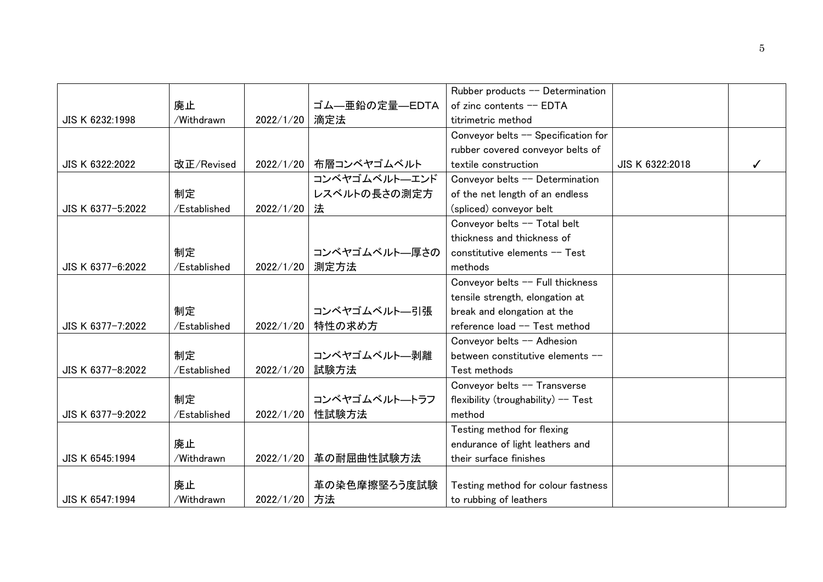|                   |              |           |                         | Rubber products -- Determination    |                 |  |
|-------------------|--------------|-----------|-------------------------|-------------------------------------|-----------------|--|
|                   | 廃止           |           | ゴム―亜鉛の定量―EDTA           | of zinc contents -- EDTA            |                 |  |
| JIS K 6232:1998   | /Withdrawn   | 2022/1/20 | 滴定法                     | titrimetric method                  |                 |  |
|                   |              |           |                         | Conveyor belts -- Specification for |                 |  |
|                   |              |           |                         | rubber covered conveyor belts of    |                 |  |
| JIS K 6322:2022   | 改正/Revised   |           | 2022/1/20   布層コンベヤゴムベルト | textile construction                | JIS K 6322:2018 |  |
|                   |              |           | コンベヤゴムベルトーエンド           | Conveyor belts -- Determination     |                 |  |
|                   | 制定           |           | レスベルトの長さの測定方            | of the net length of an endless     |                 |  |
| JIS K 6377-5:2022 | /Established | 2022/1/20 | 法                       | (spliced) conveyor belt             |                 |  |
|                   |              |           |                         | Conveyor belts -- Total belt        |                 |  |
|                   |              |           |                         | thickness and thickness of          |                 |  |
|                   | 制定           |           | コンベヤゴムベルト––厚さの          | constitutive elements -- Test       |                 |  |
| JIS K 6377-6:2022 | /Established | 2022/1/20 | 測定方法                    | methods                             |                 |  |
|                   |              |           |                         | Conveyor belts -- Full thickness    |                 |  |
|                   |              |           |                         | tensile strength, elongation at     |                 |  |
|                   | 制定           |           | コンベヤゴムベルト–引張            | break and elongation at the         |                 |  |
| JIS K 6377-7:2022 | /Established | 2022/1/20 | 特性の求め方                  | reference load -- Test method       |                 |  |
|                   |              |           |                         | Conveyor belts -- Adhesion          |                 |  |
|                   | 制定           |           | コンベヤゴムベルト––剥離           | between constitutive elements --    |                 |  |
| JIS K 6377-8:2022 | /Established | 2022/1/20 | 試験方法                    | Test methods                        |                 |  |
|                   |              |           |                         | Conveyor belts -- Transverse        |                 |  |
|                   | 制定           |           | コンベヤゴムベルトートラフ           | flexibility (troughability) -- Test |                 |  |
| JIS K 6377-9:2022 | /Established | 2022/1/20 | 性試験方法                   | method                              |                 |  |
|                   |              |           |                         | Testing method for flexing          |                 |  |
|                   | 廃止           |           |                         | endurance of light leathers and     |                 |  |
| JIS K 6545:1994   | /Withdrawn   |           | 2022/1/20 革の耐屈曲性試験方法    | their surface finishes              |                 |  |
|                   |              |           |                         |                                     |                 |  |
|                   | 廃止           |           | 革の染色摩擦堅ろう度試験            | Testing method for colour fastness  |                 |  |
| JIS K 6547:1994   | /Withdrawn   | 2022/1/20 | 方法                      | to rubbing of leathers              |                 |  |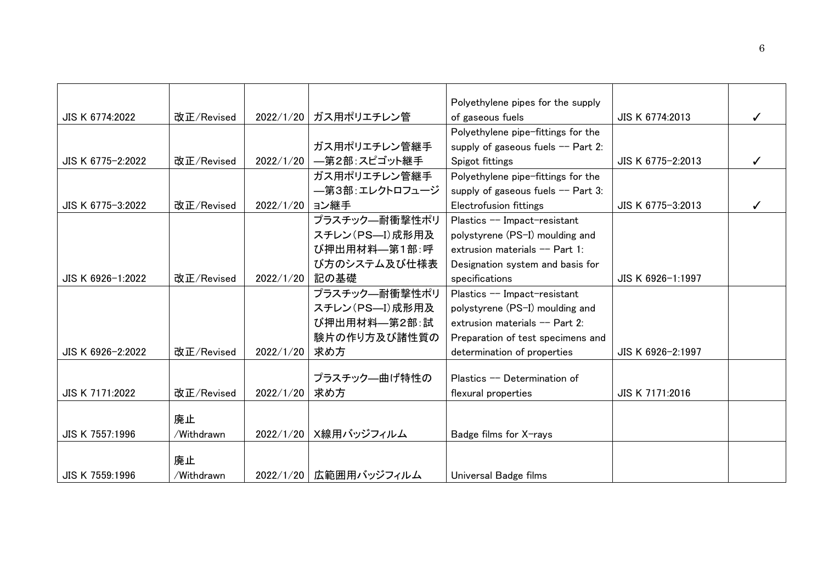|                   |            |                |                           | Polyethylene pipes for the supply   |                   |  |
|-------------------|------------|----------------|---------------------------|-------------------------------------|-------------------|--|
| JIS K 6774:2022   | 改正/Revised |                | 2022/1/20 ガス用ポリエチレン管      | of gaseous fuels                    | JIS K 6774:2013   |  |
|                   |            |                |                           | Polyethylene pipe-fittings for the  |                   |  |
|                   |            |                | ガス用ポリエチレン管継手              | supply of gaseous fuels $-$ Part 2: |                   |  |
| JIS K 6775-2:2022 | 改正/Revised |                | 2022/1/20   一第2部: スピゴット継手 | Spigot fittings                     | JIS K 6775-2:2013 |  |
|                   |            |                | ガス用ポリエチレン管継手              | Polyethylene pipe-fittings for the  |                   |  |
|                   |            |                | —第3部:エレクトロフュージ            | supply of gaseous fuels $-$ Part 3: |                   |  |
| JIS K 6775-3:2022 | 改正/Revised | 2022/1/20 ヨン継手 |                           | Electrofusion fittings              | JIS K 6775-3:2013 |  |
|                   |            |                | プラスチック–耐衝撃性ポリ             | Plastics -- Impact-resistant        |                   |  |
|                   |            |                | スチレン (PS-I) 成形用及          | polystyrene (PS-I) moulding and     |                   |  |
|                   |            |                | び押出用材料––第1部:呼             | extrusion materials -- Part 1:      |                   |  |
|                   |            |                | び方のシステム及び仕様表              | Designation system and basis for    |                   |  |
| JIS K 6926-1:2022 | 改正/Revised | 2022/1/20      | 記の基礎                      | specifications                      | JIS K 6926-1:1997 |  |
|                   |            |                | プラスチック–耐衝撃性ポリ             | Plastics -- Impact-resistant        |                   |  |
|                   |            |                | スチレン (PS-I) 成形用及          | polystyrene (PS-I) moulding and     |                   |  |
|                   |            |                | び押出用材料––第2部:試             | extrusion materials -- Part 2:      |                   |  |
|                   |            |                | 験片の作り方及び諸性質の              | Preparation of test specimens and   |                   |  |
| JIS K 6926-2:2022 | 改正/Revised | 2022/1/20      | 求め方                       | determination of properties         | JIS K 6926-2:1997 |  |
|                   |            |                |                           |                                     |                   |  |
|                   |            |                | プラスチック―曲げ特性の              | Plastics -- Determination of        |                   |  |
| JIS K 7171:2022   | 改正/Revised | 2022/1/20      | 求め方                       | flexural properties                 | JIS K 7171:2016   |  |
|                   |            |                |                           |                                     |                   |  |
|                   | 廃止         |                |                           |                                     |                   |  |
| JIS K 7557:1996   | /Withdrawn |                | 2022/1/20   X線用バッジフィルム    | Badge films for X-rays              |                   |  |
|                   | 廃止         |                |                           |                                     |                   |  |
| JIS K 7559:1996   | /Withdrawn |                | 2022/1/20   広範囲用バッジフィルム   | Universal Badge films               |                   |  |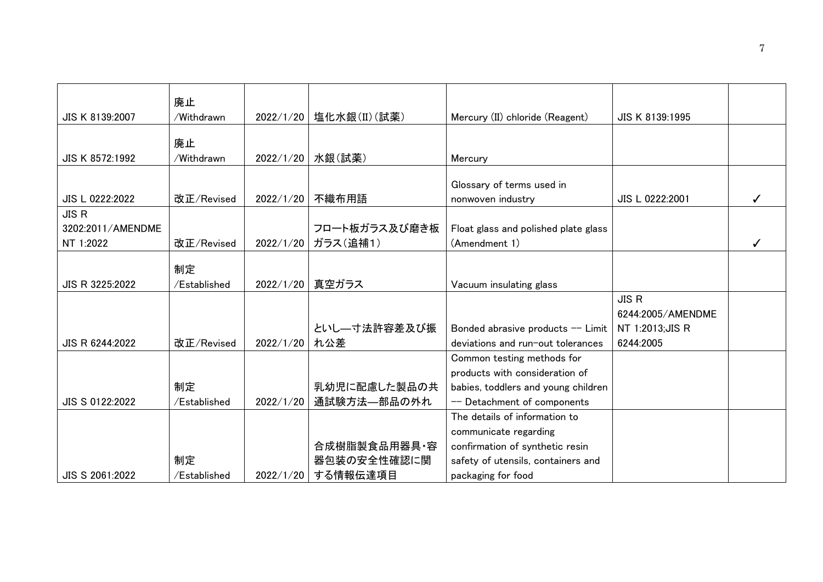|                   | 廃止           |           |               |                                      |                   |  |
|-------------------|--------------|-----------|---------------|--------------------------------------|-------------------|--|
| JIS K 8139:2007   | /Withdrawn   | 2022/1/20 | 塩化水銀(II)(試薬)  | Mercury (II) chloride (Reagent)      | JIS K 8139:1995   |  |
|                   |              |           |               |                                      |                   |  |
|                   | 廃止           |           |               |                                      |                   |  |
| JIS K 8572:1992   | /Withdrawn   | 2022/1/20 | 水銀(試薬)        | Mercury                              |                   |  |
|                   |              |           |               |                                      |                   |  |
|                   |              |           |               | Glossary of terms used in            |                   |  |
| JIS L 0222:2022   | 改正/Revised   | 2022/1/20 | 不織布用語         | nonwoven industry                    | JIS L 0222:2001   |  |
| <b>JIS R</b>      |              |           |               |                                      |                   |  |
| 3202:2011/AMENDME |              |           | フロート板ガラス及び磨き板 | Float glass and polished plate glass |                   |  |
| NT 1:2022         | 改正/Revised   | 2022/1/20 | ガラス(追補1)      | (Amendment 1)                        |                   |  |
|                   |              |           |               |                                      |                   |  |
|                   | 制定           |           |               |                                      |                   |  |
| JIS R 3225:2022   | /Established | 2022/1/20 | 真空ガラス         | Vacuum insulating glass              |                   |  |
|                   |              |           |               |                                      | <b>JIS R</b>      |  |
|                   |              |           |               |                                      | 6244:2005/AMENDME |  |
|                   |              |           | といし––寸法許容差及び振 | Bonded abrasive products -- Limit    | NT 1:2013; JIS R  |  |
| JIS R 6244:2022   | 改正/Revised   | 2022/1/20 | れ公差           | deviations and run-out tolerances    | 6244:2005         |  |
|                   |              |           |               | Common testing methods for           |                   |  |
|                   |              |           |               | products with consideration of       |                   |  |
|                   | 制定           |           | 乳幼児に配慮した製品の共  | babies, toddlers and young children  |                   |  |
| JIS S 0122:2022   | /Established | 2022/1/20 | 通試験方法—部品の外れ   | -- Detachment of components          |                   |  |
|                   |              |           |               | The details of information to        |                   |  |
|                   |              |           |               | communicate regarding                |                   |  |
|                   |              |           | 合成樹脂製食品用器具·容  | confirmation of synthetic resin      |                   |  |
|                   | 制定           |           | 器包装の安全性確認に関   | safety of utensils, containers and   |                   |  |
| JIS S 2061:2022   | /Established | 2022/1/20 | する情報伝達項目      | packaging for food                   |                   |  |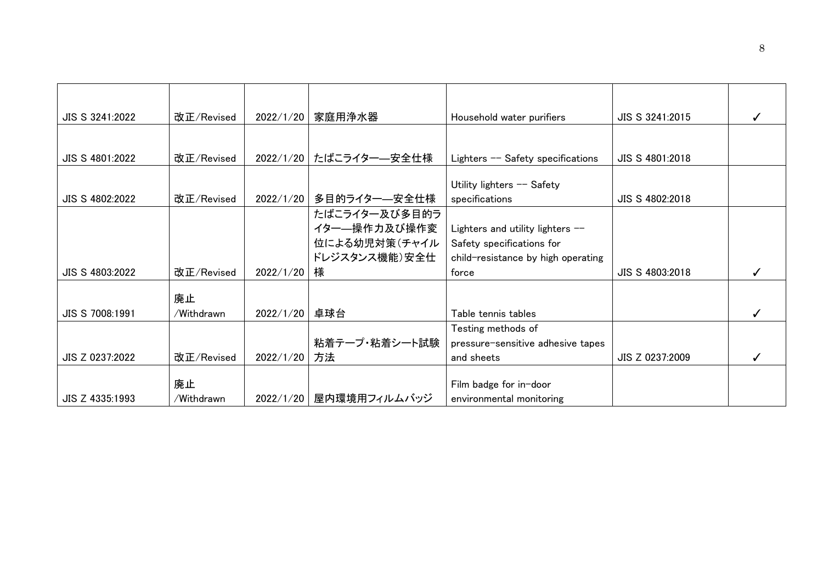| 改正/Revised |            | 家庭用浄水器        | Household water purifiers                                                                                           | JIS S 3241:2015                                                                  |  |
|------------|------------|---------------|---------------------------------------------------------------------------------------------------------------------|----------------------------------------------------------------------------------|--|
|            |            |               |                                                                                                                     |                                                                                  |  |
| 改正/Revised |            |               | Lighters -- Safety specifications                                                                                   | JIS S 4801:2018                                                                  |  |
|            |            |               |                                                                                                                     |                                                                                  |  |
| 改正/Revised |            | 多目的ライター—安全仕様  | specifications                                                                                                      | JIS S 4802:2018                                                                  |  |
|            |            | たばこライター及び多目的ラ |                                                                                                                     |                                                                                  |  |
|            |            | イター―操作力及び操作変  | Lighters and utility lighters --                                                                                    |                                                                                  |  |
|            |            |               | Safety specifications for                                                                                           |                                                                                  |  |
|            |            | ドレジスタンス機能)安全仕 | child-resistance by high operating                                                                                  |                                                                                  |  |
| 改正/Revised |            | 様             | force                                                                                                               | JIS S 4803:2018                                                                  |  |
| 廃止         |            |               |                                                                                                                     |                                                                                  |  |
| /Withdrawn |            | 卓球台           | Table tennis tables                                                                                                 |                                                                                  |  |
|            |            |               | Testing methods of                                                                                                  |                                                                                  |  |
|            |            | 粘着テープ・粘着シート試験 |                                                                                                                     |                                                                                  |  |
| 改正/Revised |            | 方法            | and sheets                                                                                                          | JIS Z 0237:2009                                                                  |  |
| 廃止         |            |               | Film badge for in-door<br>environmental monitoring                                                                  |                                                                                  |  |
|            | /Withdrawn |               | 2022/1/20<br>2022/1/20 たばこライター–安全仕様<br>2022/1/20<br>2022/1/20<br>2022/1/20<br>2022/1/20<br>2022/1/20   屋内環境用フィルムバッジ | Utility lighters -- Safety<br>位による幼児対策(チャイル<br>pressure-sensitive adhesive tapes |  |